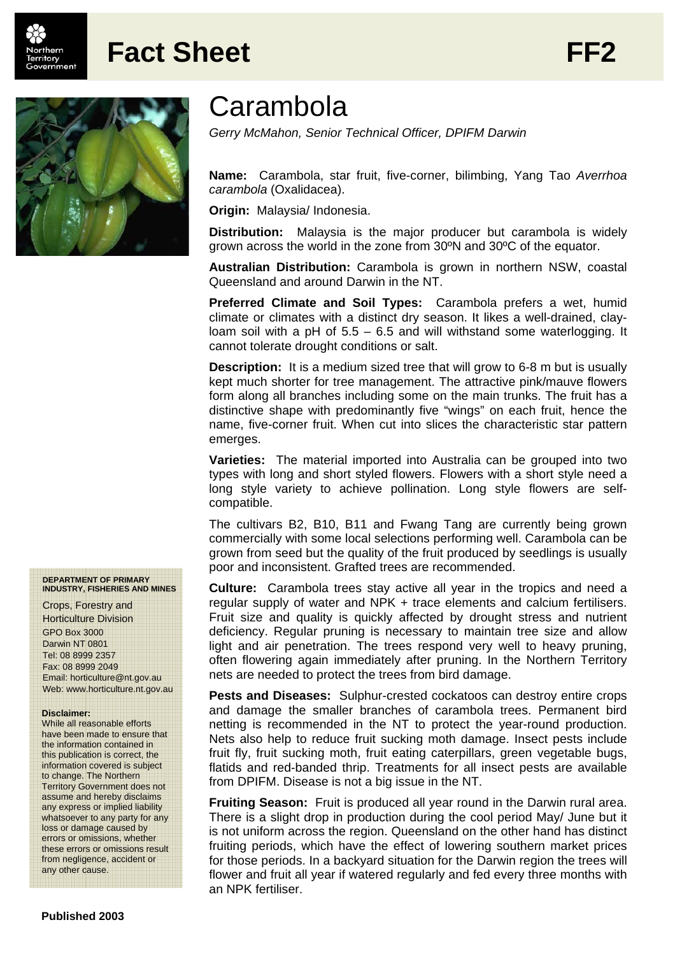

## **Fact Sheet FF2**



## **Carambola**

*Gerry McMahon, Senior Technical Officer, DPIFM Darwin* 

**Name:** Carambola, star fruit, five-corner, bilimbing, Yang Tao *Averrhoa carambola* (Oxalidacea).

**Origin:** Malaysia/ Indonesia.

**Distribution:** Malaysia is the major producer but carambola is widely grown across the world in the zone from 30ºN and 30ºC of the equator.

**Australian Distribution:** Carambola is grown in northern NSW, coastal Queensland and around Darwin in the NT.

**Preferred Climate and Soil Types:** Carambola prefers a wet, humid climate or climates with a distinct dry season. It likes a well-drained, clayloam soil with a pH of 5.5 – 6.5 and will withstand some waterlogging. It cannot tolerate drought conditions or salt.

**Description:** It is a medium sized tree that will grow to 6-8 m but is usually kept much shorter for tree management. The attractive pink/mauve flowers form along all branches including some on the main trunks. The fruit has a distinctive shape with predominantly five "wings" on each fruit, hence the name, five-corner fruit. When cut into slices the characteristic star pattern emerges.

**Varieties:** The material imported into Australia can be grouped into two types with long and short styled flowers. Flowers with a short style need a long style variety to achieve pollination. Long style flowers are selfcompatible.

The cultivars B2, B10, B11 and Fwang Tang are currently being grown commercially with some local selections performing well. Carambola can be grown from seed but the quality of the fruit produced by seedlings is usually poor and inconsistent. Grafted trees are recommended.

**Culture:** Carambola trees stay active all year in the tropics and need a regular supply of water and NPK + trace elements and calcium fertilisers. Fruit size and quality is quickly affected by drought stress and nutrient deficiency. Regular pruning is necessary to maintain tree size and allow light and air penetration. The trees respond very well to heavy pruning, often flowering again immediately after pruning. In the Northern Territory nets are needed to protect the trees from bird damage.

**Pests and Diseases:** Sulphur-crested cockatoos can destroy entire crops and damage the smaller branches of carambola trees. Permanent bird netting is recommended in the NT to protect the year-round production. Nets also help to reduce fruit sucking moth damage. Insect pests include fruit fly, fruit sucking moth, fruit eating caterpillars, green vegetable bugs, flatids and red-banded thrip. Treatments for all insect pests are available from DPIFM. Disease is not a big issue in the NT.

**Fruiting Season:** Fruit is produced all year round in the Darwin rural area. There is a slight drop in production during the cool period May/ June but it is not uniform across the region. Queensland on the other hand has distinct fruiting periods, which have the effect of lowering southern market prices for those periods. In a backyard situation for the Darwin region the trees will flower and fruit all year if watered regularly and fed every three months with an NPK fertiliser.

## **DEPARTMENT OF PRIMARY INDUSTRY, FISHERIES AND MINES**

Crops, Forestry and Horticulture Division GPO Box 3000 Darwin NT 0801 Tel: 08 8999 2357 Fax: 08 8999 2049 Email: horticulture@nt.gov.au Web: www.horticulture.nt.gov.au

## **Disclaimer:**

While all reasonable efforts have been made to ensure that the information contained in this publication is correct, the information covered is subject to change. The Northern Territory Government does not assume and hereby disclaims any express or implied liability whatsoever to any party for any loss or damage caused by errors or omissions, whether these errors or omissions result from negligence, accident or any other cause.